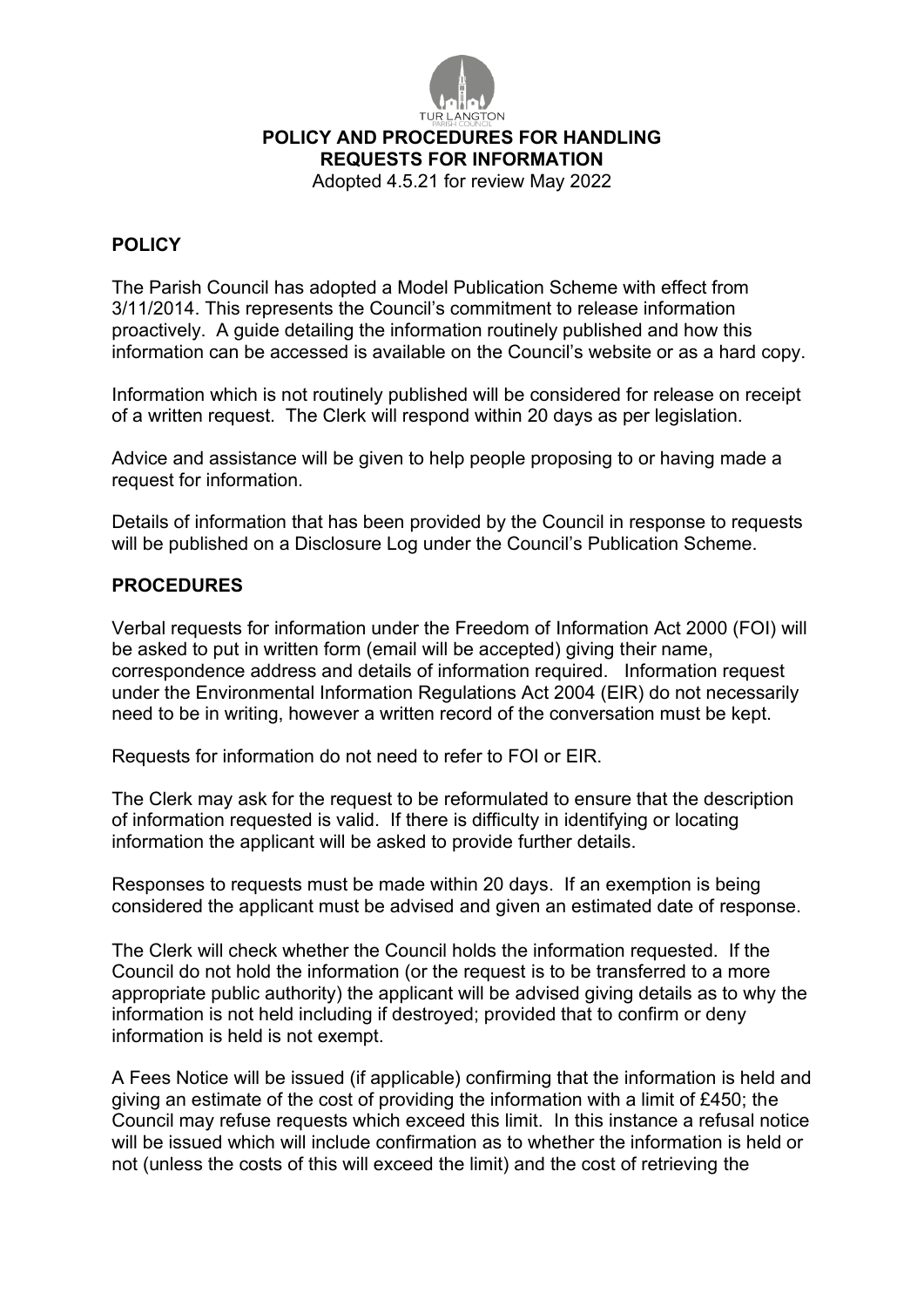

## **POLICY AND PROCEDURES FOR HANDLING**

**REQUESTS FOR INFORMATION**

Adopted 4.5.21 for review May 2022

## **POLICY**

The Parish Council has adopted a Model Publication Scheme with effect from 3/11/2014. This represents the Council's commitment to release information proactively. A guide detailing the information routinely published and how this information can be accessed is available on the Council's website or as a hard copy.

Information which is not routinely published will be considered for release on receipt of a written request. The Clerk will respond within 20 days as per legislation.

Advice and assistance will be given to help people proposing to or having made a request for information.

Details of information that has been provided by the Council in response to requests will be published on a Disclosure Log under the Council's Publication Scheme.

## **PROCEDURES**

Verbal requests for information under the Freedom of Information Act 2000 (FOI) will be asked to put in written form (email will be accepted) giving their name, correspondence address and details of information required. Information request under the Environmental Information Regulations Act 2004 (EIR) do not necessarily need to be in writing, however a written record of the conversation must be kept.

Requests for information do not need to refer to FOI or EIR.

The Clerk may ask for the request to be reformulated to ensure that the description of information requested is valid. If there is difficulty in identifying or locating information the applicant will be asked to provide further details.

Responses to requests must be made within 20 days. If an exemption is being considered the applicant must be advised and given an estimated date of response.

The Clerk will check whether the Council holds the information requested. If the Council do not hold the information (or the request is to be transferred to a more appropriate public authority) the applicant will be advised giving details as to why the information is not held including if destroyed; provided that to confirm or deny information is held is not exempt.

A Fees Notice will be issued (if applicable) confirming that the information is held and giving an estimate of the cost of providing the information with a limit of £450; the Council may refuse requests which exceed this limit. In this instance a refusal notice will be issued which will include confirmation as to whether the information is held or not (unless the costs of this will exceed the limit) and the cost of retrieving the